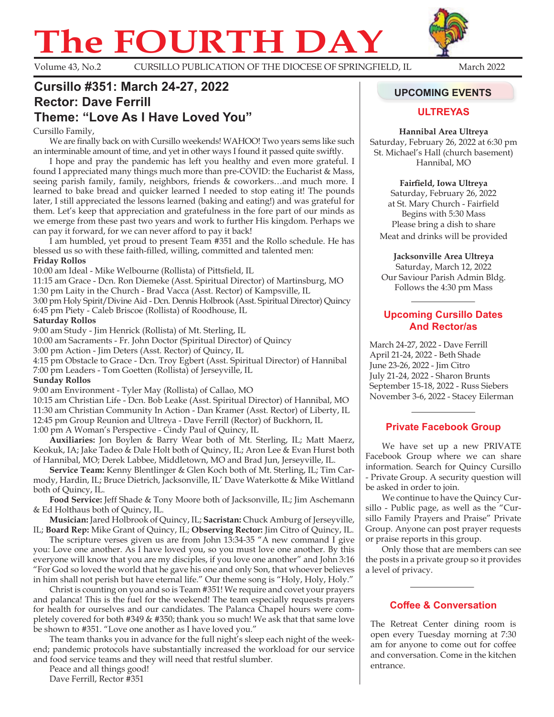# **The FOURTH DAY**



Volume 43, No.2 CURSILLO PUBLICATION OF THE DIOCESE OF SPRINGFIELD, IL March 2022

# Cursillo #351: March 24-27, 2022 **Access 12 Guilt 120 and Access 12 Guide Event 120 and Access 120 and Access Rector: Dave Ferrill**

# **Theme: "Love As I Have Loved You"**

#### Cursillo Family,

We are finally back on with Cursillo weekends! WAHOO! Two years sems like such an interminable amount of time, and yet in other ways I found it passed quite swiftly.

I hope and pray the pandemic has left you healthy and even more grateful. I found I appreciated many things much more than pre-COVID: the Eucharist & Mass, seeing parish family, family, neighbors, friends & coworkers…and much more. I learned to bake bread and quicker learned I needed to stop eating it! The pounds later, I still appreciated the lessons learned (baking and eating!) and was grateful for them. Let's keep that appreciation and gratefulness in the fore part of our minds as we emerge from these past two years and work to further His kingdom. Perhaps we can pay it forward, for we can never afford to pay it back!

I am humbled, yet proud to present Team #351 and the Rollo schedule. He has blessed us so with these faith-filled, willing, committed and talented men: **Friday Rollos** 

10:00 am Ideal - Mike Welbourne (Rollista) of Pittsfield, IL

11:15 am Grace - Dcn. Ron Diemeke (Asst. Spiritual Director) of Martinsburg, MO

1:30 pm Laity in the Church - Brad Vacca (Asst. Rector) of Kampsville, IL

3:00 pm Holy Spirit/Divine Aid - Dcn. Dennis Holbrook (Asst. Spiritual Director) Quincy 6:45 pm Piety - Caleb Briscoe (Rollista) of Roodhouse, IL

#### **Saturday Rollos**

9:00 am Study - Jim Henrick (Rollista) of Mt. Sterling, IL

10:00 am Sacraments - Fr. John Doctor (Spiritual Director) of Quincy

3:00 pm Action - Jim Deters (Asst. Rector) of Quincy, IL

4:15 pm Obstacle to Grace - Dcn. Troy Egbert (Asst. Spiritual Director) of Hannibal 7:00 pm Leaders - Tom Goetten (Rollista) of Jerseyville, IL

#### **Sunday Rollos**

9:00 am Environment - Tyler May (Rollista) of Callao, MO

10:15 am Christian Life - Dcn. Bob Leake (Asst. Spiritual Director) of Hannibal, MO 11:30 am Christian Community In Action - Dan Kramer (Asst. Rector) of Liberty, IL 12:45 pm Group Reunion and Ultreya - Dave Ferrill (Rector) of Buckhorn, IL 1:00 pm A Woman's Perspective - Cindy Paul of Quincy, IL

**Auxiliaries:** Jon Boylen & Barry Wear both of Mt. Sterling, IL; Matt Maerz, Keokuk, IA; Jake Tadeo & Dale Holt both of Quincy, IL; Aron Lee & Evan Hurst both of Hannibal, MO; Derek Labbee, Middletown, MO and Brad Jun, Jerseyville, IL.

**Service Team:** Kenny Blentlinger & Glen Koch both of Mt. Sterling, IL; Tim Carmody, Hardin, IL; Bruce Dietrich, Jacksonville, IL' Dave Waterkotte & Mike Wittland both of Quincy, IL.

**Food Service:** Jeff Shade & Tony Moore both of Jacksonville, IL; Jim Aschemann & Ed Holthaus both of Quincy, IL.

**Musician:** Jared Holbrook of Quincy, IL; **Sacristan:** Chuck Amburg of Jerseyville, IL; **Board Rep:** Mike Grant of Quincy, IL; **Observing Rector:** Jim Citro of Quincy, IL.

The scripture verses given us are from John 13:34-35 "A new command I give you: Love one another. As I have loved you, so you must love one another. By this everyone will know that you are my disciples, if you love one another" and John 3:16 "For God so loved the world that he gave his one and only Son, that whoever believes in him shall not perish but have eternal life." Our theme song is "Holy, Holy, Holy."

Christ is counting on you and so is Team #351! We require and covet your prayers and palanca! This is the fuel for the weekend! The team especially requests prayers for health for ourselves and our candidates. The Palanca Chapel hours were completely covered for both  $#349 \& #350$ ; thank you so much! We ask that that same love be shown to #351. "Love one another as I have loved you."

The team thanks you in advance for the full night's sleep each night of the weekend; pandemic protocols have substantially increased the workload for our service and food service teams and they will need that restful slumber.

Peace and all things good! Dave Ferrill, Rector #351

## **ULTREYAS**

#### **Hannibal Area Ultreya**

Saturday, February 26, 2022 at 6:30 pm St. Michael's Hall (church basement) Hannibal, MO

#### **Fairfield, Iowa Ultreya**

Saturday, February 26, 2022 at St. Mary Church - Fairfield Begins with 5:30 Mass Please bring a dish to share Meat and drinks will be provided

**Jacksonville Area Ultreya**

Saturday, March 12, 2022 Our Saviour Parish Admin Bldg. Follows the 4:30 pm Mass

### **Upcoming Cursillo Dates and Rector/as**

March 24-27, 2022 - Dave Ferrill April 21-24, 2022 - Beth Shade June 23-26, 2022 - Jim Citro July 21-24, 2022 - Sharon Brunts September 15-18, 2022 - Russ Siebers November 3-6, 2022 - Stacey Eilerman

# **Private Facebook Group**

We have set up a new PRIVATE Facebook Group where we can share information. Search for Quincy Cursillo - Private Group. A security question will be asked in order to join.

We continue to have the Quincy Cursillo - Public page, as well as the "Cursillo Family Prayers and Praise" Private Group. Anyone can post prayer requests or praise reports in this group.

Only those that are members can see the posts in a private group so it provides a level of privacy.

# **Coffee & Conversation**

The Retreat Center dining room is open every Tuesday morning at 7:30 am for anyone to come out for coffee and conversation. Come in the kitchen entrance.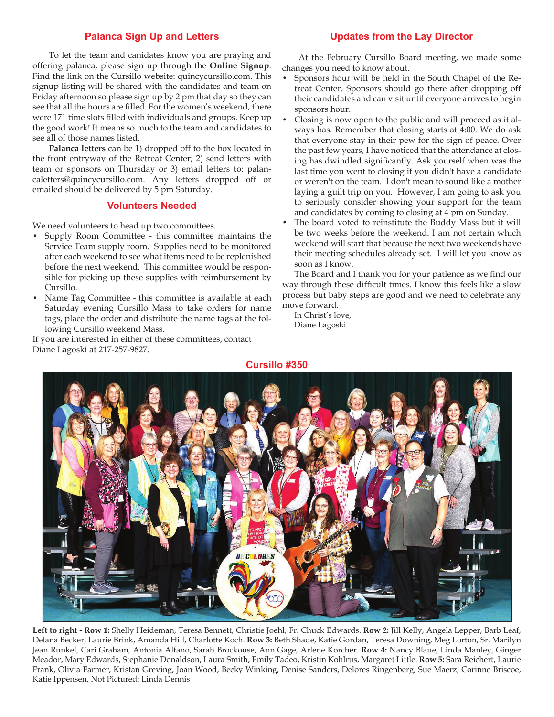#### **Palanca Sign Up and Letters**

To let the team and canidates know you are praying and offering palanca, please sign up through the **Online Signup**. Find the link on the Cursillo website: quincycursillo.com. This signup listing will be shared with the candidates and team on Friday afternoon so please sign up by 2 pm that day so they can see that all the hours are filled. For the women's weekend, there were 171 time slots filled with individuals and groups. Keep up the good work! It means so much to the team and candidates to see all of those names listed.

**Palanca letters** can be 1) dropped off to the box located in the front entryway of the Retreat Center; 2) send letters with team or sponsors on Thursday or 3) email letters to: palancaletters@quincycursillo.com. Any letters dropped off or emailed should be delivered by 5 pm Saturday.

#### **Volunteers Needed**

We need volunteers to head up two committees.

- Supply Room Committee this committee maintains the Service Team supply room. Supplies need to be monitored after each weekend to see what items need to be replenished before the next weekend. This committee would be responsible for picking up these supplies with reimbursement by Cursillo.
- Name Tag Committee this committee is available at each Saturday evening Cursillo Mass to take orders for name tags, place the order and distribute the name tags at the following Cursillo weekend Mass.

If you are interested in either of these committees, contact Diane Lagoski at 217-257-9827.

#### **Updates from the Lay Director**

At the February Cursillo Board meeting, we made some changes you need to know about.

- Sponsors hour will be held in the South Chapel of the Retreat Center. Sponsors should go there after dropping off their candidates and can visit until everyone arrives to begin sponsors hour.
- Closing is now open to the public and will proceed as it always has. Remember that closing starts at 4:00. We do ask that everyone stay in their pew for the sign of peace. Over the past few years, I have noticed that the attendance at closing has dwindled significantly. Ask yourself when was the last time you went to closing if you didn't have a candidate or weren't on the team. I don't mean to sound like a mother laying a guilt trip on you. However, I am going to ask you to seriously consider showing your support for the team and candidates by coming to closing at 4 pm on Sunday.
- The board voted to reinstitute the Buddy Mass but it will be two weeks before the weekend. I am not certain which weekend will start that because the next two weekends have their meeting schedules already set. I will let you know as soon as I know.

The Board and I thank you for your patience as we find our way through these difficult times. I know this feels like a slow process but baby steps are good and we need to celebrate any move forward.

In Christ's love, Diane Lagoski



**Left to right - Row 1:** Shelly Heideman, Teresa Bennett, Christie Joehl, Fr. Chuck Edwards. **Row 2:** Jill Kelly, Angela Lepper, Barb Leaf, Delana Becker, Laurie Brink, Amanda Hill, Charlotte Koch. **Row 3:** Beth Shade, Katie Gordan, Teresa Downing, Meg Lorton, Sr. Marilyn Jean Runkel, Cari Graham, Antonia Alfano, Sarah Brockouse, Ann Gage, Arlene Korcher. **Row 4:** Nancy Blaue, Linda Manley, Ginger Meador, Mary Edwards, Stephanie Donaldson, Laura Smith, Emily Tadeo, Kristin Kohlrus, Margaret Little. **Row 5:** Sara Reichert, Laurie Frank, Olivia Farmer, Kristan Greving, Joan Wood, Becky Winking, Denise Sanders, Delores Ringenberg, Sue Maerz, Corinne Briscoe, Katie Ippensen. Not Pictured: Linda Dennis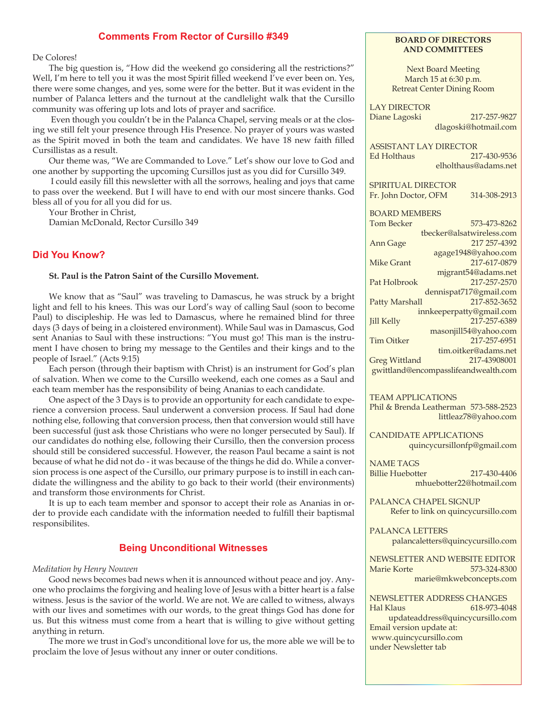#### **Comments From Rector of Cursillo #349**

De Colores!

The big question is, "How did the weekend go considering all the restrictions?" Well, I'm here to tell you it was the most Spirit filled weekend I've ever been on. Yes, there were some changes, and yes, some were for the better. But it was evident in the number of Palanca letters and the turnout at the candlelight walk that the Cursillo community was offering up lots and lots of prayer and sacrifice.

 Even though you couldn't be in the Palanca Chapel, serving meals or at the closing we still felt your presence through His Presence. No prayer of yours was wasted as the Spirit moved in both the team and candidates. We have 18 new faith filled Cursillistas as a result.

Our theme was, "We are Commanded to Love." Let's show our love to God and one another by supporting the upcoming Cursillos just as you did for Cursillo 349.

 I could easily fill this newsletter with all the sorrows, healing and joys that came to pass over the weekend. But I will have to end with our most sincere thanks. God bless all of you for all you did for us.

Your Brother in Christ,

Damian McDonald, Rector Cursillo 349

#### **Did You Know?**

#### **St. Paul is the Patron Saint of the Cursillo Movement.**

We know that as "Saul" was traveling to Damascus, he was struck by a bright light and fell to his knees. This was our Lord's way of calling Saul (soon to become Paul) to discipleship. He was led to Damascus, where he remained blind for three days (3 days of being in a cloistered environment). While Saul was in Damascus, God sent Ananias to Saul with these instructions: "You must go! This man is the instrument I have chosen to bring my message to the Gentiles and their kings and to the people of Israel." (Acts 9:15)

Each person (through their baptism with Christ) is an instrument for God's plan of salvation. When we come to the Cursillo weekend, each one comes as a Saul and each team member has the responsibility of being Ananias to each candidate.

One aspect of the 3 Days is to provide an opportunity for each candidate to experience a conversion process. Saul underwent a conversion process. If Saul had done nothing else, following that conversion process, then that conversion would still have been successful (just ask those Christians who were no longer persecuted by Saul). If our candidates do nothing else, following their Cursillo, then the conversion process should still be considered successful. However, the reason Paul became a saint is not because of what he did not do - it was because of the things he did do. While a conversion process is one aspect of the Cursillo, our primary purpose is to instill in each candidate the willingness and the ability to go back to their world (their environments) and transform those environments for Christ.

It is up to each team member and sponsor to accept their role as Ananias in order to provide each candidate with the information needed to fulfill their baptismal responsibilites.

#### **Being Unconditional Witnesses**

#### *Meditation by Henry Nouwen*

Good news becomes bad news when it is announced without peace and joy. Anyone who proclaims the forgiving and healing love of Jesus with a bitter heart is a false witness. Jesus is the savior of the world. We are not. We are called to witness, always with our lives and sometimes with our words, to the great things God has done for us. But this witness must come from a heart that is willing to give without getting anything in return.

The more we trust in God's unconditional love for us, the more able we will be to proclaim the love of Jesus without any inner or outer conditions.

#### **BOARD OF DIRECTORS AND COMMITTEES**

Next Board Meeting March 15 at 6:30 p.m. Retreat Center Dining Room

LAY DIRECTOR Diane Lagoski 217-257-9827 dlagoski@hotmail.com

ASSISTANT LAY DIRECTOR Ed Holthaus 217-430-9536 elholthaus@adams.net

SPIRITUAL DIRECTOR Fr. John Doctor, OFM 314-308-2913

BOARD MEMBERS

Tom Becker 573-473-8262 tbecker@alsatwireless.com Ann Gage 217 257-4392 agage1948@yahoo.com Mike Grant 217-617-0879 mjgrant54@adams.net Pat Holbrook 217-257-2570 dennispat717@gmail.com Patty Marshall 217-852-3652 innkeeperpatty@gmail.com Jill Kelly 217-257-6389 masonjill54@yahoo.com Tim Oitker 217-257-6951 tim.oitker@adams.net Greg Wittland 217-43908001 gwittland@encompasslifeandwealth.com

TEAM APPLICATIONS

Phil & Brenda Leatherman 573-588-2523 littleaz78@yahoo.com

CANDIDATE APPLICATIONS quincycursillonfp@gmail.com

NAME TAGS Billie Huebotter 217-430-4406 mhuebotter22@hotmail.com

PALANCA CHAPEL SIGNUP Refer to link on quincycursillo.com

PALANCA LETTERS palancaletters@quincycursillo.com

NEWSLETTER AND WEBSITE EDITOR Marie Korte 573-324-8300 marie@mkwebconcepts.com

NEWSLETTER ADDRESS CHANGES Hal Klaus 618-973-4048 updateaddress@quincycursillo.com Email version update at: www.quincycursillo.com under Newsletter tab